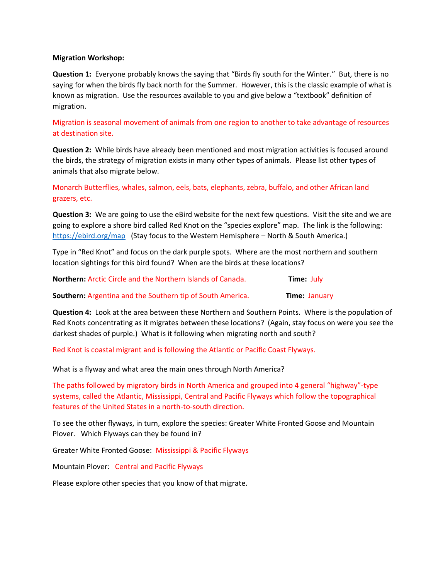## **Migration Workshop:**

**Question 1:** Everyone probably knows the saying that "Birds fly south for the Winter." But, there is no saying for when the birds fly back north for the Summer. However, this is the classic example of what is known as migration. Use the resources available to you and give below a "textbook" definition of migration.

Migration is seasonal movement of animals from one region to another to take advantage of resources at destination site.

**Question 2:** While birds have already been mentioned and most migration activities is focused around the birds, the strategy of migration exists in many other types of animals. Please list other types of animals that also migrate below.

Monarch Butterflies, whales, salmon, eels, bats, elephants, zebra, buffalo, and other African land grazers, etc.

**Question 3:** We are going to use the eBird website for the next few questions. Visit the site and we are going to explore a shore bird called Red Knot on the "species explore" map. The link is the following: <https://ebird.org/map>(Stay focus to the Western Hemisphere – North & South America.)

Type in "Red Knot" and focus on the dark purple spots. Where are the most northern and southern location sightings for this bird found? When are the birds at these locations?

**Northern:** Arctic Circle and the Northern Islands of Canada. **Time:** July **Southern:** Argentina and the Southern tip of South America. **Time:** January

**Question 4:** Look at the area between these Northern and Southern Points. Where is the population of Red Knots concentrating as it migrates between these locations? (Again, stay focus on were you see the darkest shades of purple.) What is it following when migrating north and south?

Red Knot is coastal migrant and is following the Atlantic or Pacific Coast Flyways.

What is a flyway and what area the main ones through North America?

The paths followed by migratory birds in North America and grouped into 4 general "highway"-type systems, called the Atlantic, Mississippi, Central and Pacific Flyways which follow the topographical features of the United States in a north-to-south direction.

To see the other flyways, in turn, explore the species: Greater White Fronted Goose and Mountain Plover. Which Flyways can they be found in?

Greater White Fronted Goose: Mississippi & Pacific Flyways

Mountain Plover: Central and Pacific Flyways

Please explore other species that you know of that migrate.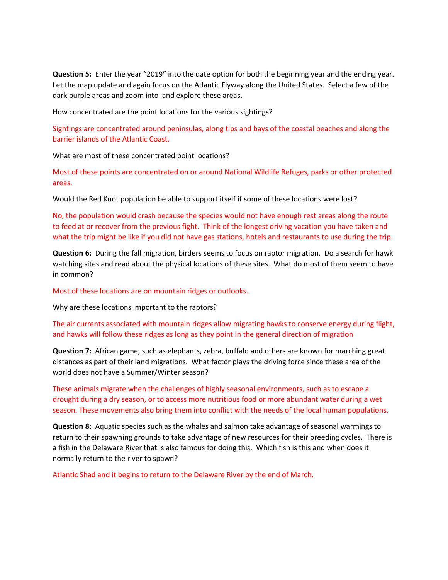**Question 5:** Enter the year "2019" into the date option for both the beginning year and the ending year. Let the map update and again focus on the Atlantic Flyway along the United States. Select a few of the dark purple areas and zoom into and explore these areas.

How concentrated are the point locations for the various sightings?

Sightings are concentrated around peninsulas, along tips and bays of the coastal beaches and along the barrier islands of the Atlantic Coast.

What are most of these concentrated point locations?

Most of these points are concentrated on or around National Wildlife Refuges, parks or other protected areas.

Would the Red Knot population be able to support itself if some of these locations were lost?

No, the population would crash because the species would not have enough rest areas along the route to feed at or recover from the previous fight. Think of the longest driving vacation you have taken and what the trip might be like if you did not have gas stations, hotels and restaurants to use during the trip.

**Question 6:** During the fall migration, birders seems to focus on raptor migration. Do a search for hawk watching sites and read about the physical locations of these sites. What do most of them seem to have in common?

Most of these locations are on mountain ridges or outlooks.

Why are these locations important to the raptors?

The air currents associated with mountain ridges allow migrating hawks to conserve energy during flight, and hawks will follow these ridges as long as they point in the general direction of migration

**Question 7:** African game, such as elephants, zebra, buffalo and others are known for marching great distances as part of their land migrations. What factor plays the driving force since these area of the world does not have a Summer/Winter season?

These animals migrate when the challenges of highly seasonal environments, such as to escape a drought during a dry season, or to access more nutritious food or more abundant water during a wet season. These movements also bring them into conflict with the needs of the local human populations.

**Question 8:** Aquatic species such as the whales and salmon take advantage of seasonal warmings to return to their spawning grounds to take advantage of new resources for their breeding cycles. There is a fish in the Delaware River that is also famous for doing this. Which fish is this and when does it normally return to the river to spawn?

Atlantic Shad and it begins to return to the Delaware River by the end of March.